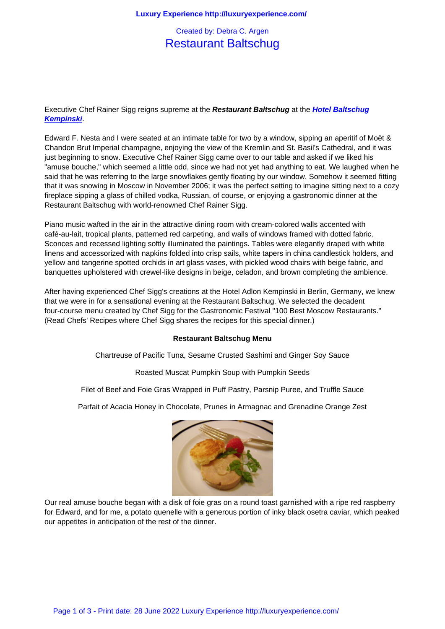## Restaurant Baltschug

Executive Chef Rainer Sigg reigns supreme at the **Restaurant Baltschug** at the **Hotel Baltschug Kempinski**.

Edward F. Nesta and I were seated at an intimate table for two by a window, sipping an aperitif of Moët & Chandon Brut Imperial champagne, enjoying the view of the Kremlin and St. Bas[il's Cathedral, and](http://www.kempinski-moscow.com/) it was [just beginni](http://www.kempinski-moscow.com/)ng to snow. Executive Chef Rainer Sigg came over to our table and asked if we liked his "amuse bouche," which seemed a little odd, since we had not yet had anything to eat. We laughed when he said that he was referring to the large snowflakes gently floating by our window. Somehow it seemed fitting that it was snowing in Moscow in November 2006; it was the perfect setting to imagine sitting next to a cozy fireplace sipping a glass of chilled vodka, Russian, of course, or enjoying a gastronomic dinner at the Restaurant Baltschug with world-renowned Chef Rainer Sigg.

Piano music wafted in the air in the attractive dining room with cream-colored walls accented with café-au-lait, tropical plants, patterned red carpeting, and walls of windows framed with dotted fabric. Sconces and recessed lighting softly illuminated the paintings. Tables were elegantly draped with white linens and accessorized with napkins folded into crisp sails, white tapers in china candlestick holders, and yellow and tangerine spotted orchids in art glass vases, with pickled wood chairs with beige fabric, and banquettes upholstered with crewel-like designs in beige, celadon, and brown completing the ambience.

After having experienced Chef Sigg's creations at the Hotel Adlon Kempinski in Berlin, Germany, we knew that we were in for a sensational evening at the Restaurant Baltschug. We selected the decadent four-course menu created by Chef Sigg for the Gastronomic Festival "100 Best Moscow Restaurants." (Read Chefs' Recipes where Chef Sigg shares the recipes for this special dinner.)

## **Restaurant Baltschug Menu**

Chartreuse of Pacific Tuna, Sesame Crusted Sashimi and Ginger Soy Sauce

Roasted Muscat Pumpkin Soup with Pumpkin Seeds

Filet of Beef and Foie Gras Wrapped in Puff Pastry, Parsnip Puree, and Truffle Sauce

Parfait of Acacia Honey in Chocolate, Prunes in Armagnac and Grenadine Orange Zest



Our real amuse bouche began with a disk of foie gras on a round toast garnished with a ripe red raspberry for Edward, and for me, a potato quenelle with a generous portion of inky black osetra caviar, which peaked our appetites in anticipation of the rest of the dinner.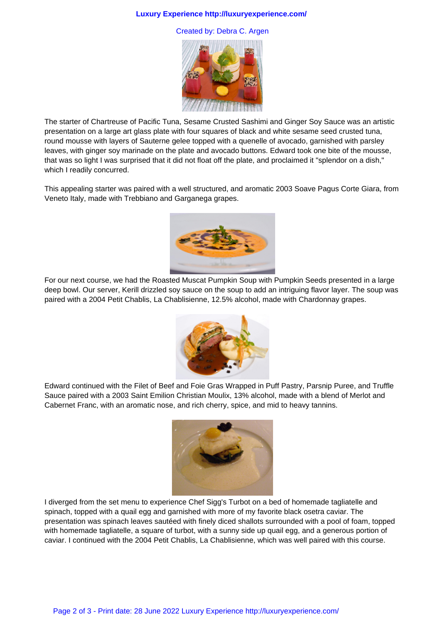## **Luxury Experience http://luxuryexperience.com/**

Created by: Debra C. Argen



The starter of Chartreuse of Pacific Tuna, Sesame Crusted Sashimi and Ginger Soy Sauce was an artistic presentation on a large art glass plate with four squares of black and white sesame seed crusted tuna, round mousse with layers of Sauterne gelee topped with a quenelle of avocado, garnished with parsley leaves, with ginger soy marinade on the plate and avocado buttons. Edward took one bite of the mousse, that was so light I was surprised that it did not float off the plate, and proclaimed it "splendor on a dish," which I readily concurred.

This appealing starter was paired with a well structured, and aromatic 2003 Soave Pagus Corte Giara, from Veneto Italy, made with Trebbiano and Garganega grapes.



For our next course, we had the Roasted Muscat Pumpkin Soup with Pumpkin Seeds presented in a large deep bowl. Our server, Kerill drizzled soy sauce on the soup to add an intriguing flavor layer. The soup was paired with a 2004 Petit Chablis, La Chablisienne, 12.5% alcohol, made with Chardonnay grapes.



Edward continued with the Filet of Beef and Foie Gras Wrapped in Puff Pastry, Parsnip Puree, and Truffle Sauce paired with a 2003 Saint Emilion Christian Moulix, 13% alcohol, made with a blend of Merlot and Cabernet Franc, with an aromatic nose, and rich cherry, spice, and mid to heavy tannins.



I diverged from the set menu to experience Chef Sigg's Turbot on a bed of homemade tagliatelle and spinach, topped with a quail egg and garnished with more of my favorite black osetra caviar. The presentation was spinach leaves sautéed with finely diced shallots surrounded with a pool of foam, topped with homemade tagliatelle, a square of turbot, with a sunny side up quail egg, and a generous portion of caviar. I continued with the 2004 Petit Chablis, La Chablisienne, which was well paired with this course.